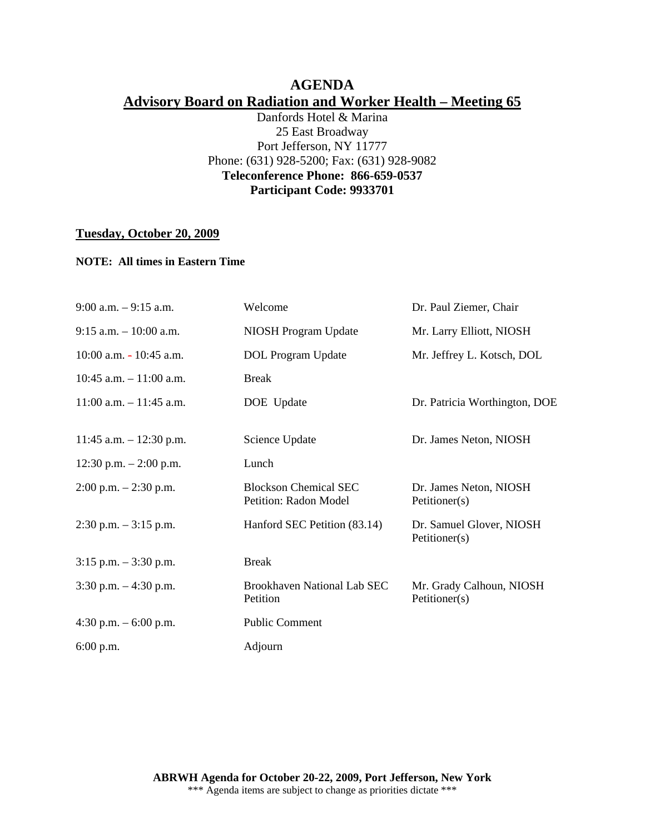# **AGENDA Advisory Board on Radiation and Worker Health – Meeting 65**

Danfords Hotel & Marina 25 East Broadway Port Jefferson, NY 11777 Phone: (631) 928-5200; Fax: (631) 928-9082 **Teleconference Phone: 866-659-0537 Participant Code: 9933701** 

## **Tuesday, October 20, 2009**

## **NOTE: All times in Eastern Time**

| $9:00$ a.m. $-9:15$ a.m.   | Welcome                                               | Dr. Paul Ziemer, Chair                    |
|----------------------------|-------------------------------------------------------|-------------------------------------------|
| $9:15$ a.m. $-10:00$ a.m.  | NIOSH Program Update                                  | Mr. Larry Elliott, NIOSH                  |
| $10:00$ a.m. $-10:45$ a.m. | DOL Program Update                                    | Mr. Jeffrey L. Kotsch, DOL                |
| 10:45 a.m. $-11:00$ a.m.   | <b>Break</b>                                          |                                           |
| $11:00$ a.m. $-11:45$ a.m. | DOE Update                                            | Dr. Patricia Worthington, DOE             |
|                            |                                                       |                                           |
| 11:45 a.m. $- 12:30$ p.m.  | Science Update                                        | Dr. James Neton, NIOSH                    |
| 12:30 p.m. $- 2:00$ p.m.   | Lunch                                                 |                                           |
| $2:00$ p.m. $-2:30$ p.m.   | <b>Blockson Chemical SEC</b><br>Petition: Radon Model | Dr. James Neton, NIOSH<br>Petitioner(s)   |
| $2:30$ p.m. $-3:15$ p.m.   | Hanford SEC Petition (83.14)                          | Dr. Samuel Glover, NIOSH<br>Petitioner(s) |
| $3:15$ p.m. $-3:30$ p.m.   | <b>Break</b>                                          |                                           |
| $3:30$ p.m. $-4:30$ p.m.   | Brookhaven National Lab SEC<br>Petition               | Mr. Grady Calhoun, NIOSH<br>Petitioner(s) |
| 4:30 p.m. $-6:00$ p.m.     | <b>Public Comment</b>                                 |                                           |
| $6:00$ p.m.                | Adjourn                                               |                                           |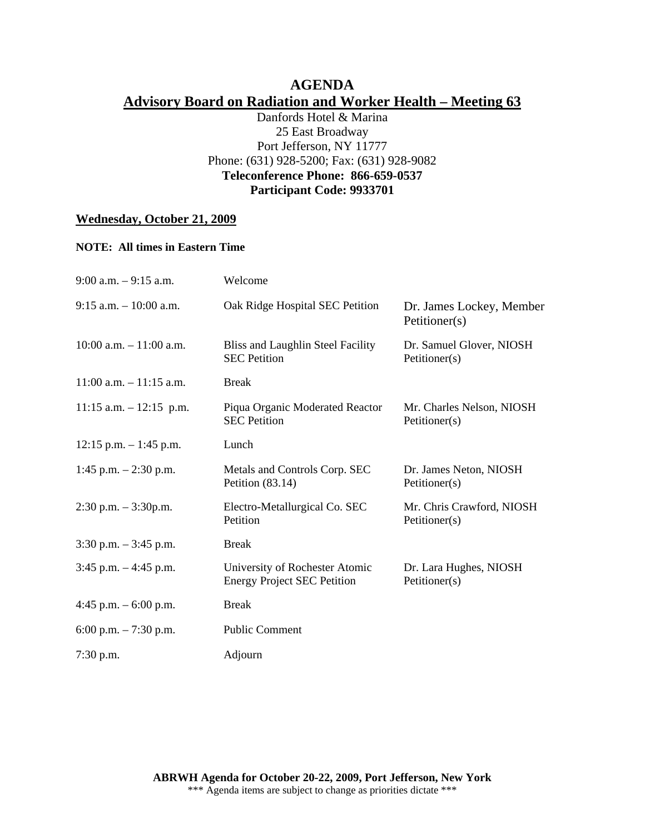# **AGENDA Advisory Board on Radiation and Worker Health – Meeting 63**

Danfords Hotel & Marina 25 East Broadway Port Jefferson, NY 11777 Phone: (631) 928-5200; Fax: (631) 928-9082 **Teleconference Phone: 866-659-0537 Participant Code: 9933701** 

# **Wednesday, October 21, 2009**

#### **NOTE: All times in Eastern Time**

| $9:00$ a.m. $-9:15$ a.m.   | Welcome                                                              |                                            |
|----------------------------|----------------------------------------------------------------------|--------------------------------------------|
| $9:15$ a.m. $-10:00$ a.m.  | Oak Ridge Hospital SEC Petition                                      | Dr. James Lockey, Member<br>Petitioner(s)  |
| $10:00$ a.m. $-11:00$ a.m. | Bliss and Laughlin Steel Facility<br><b>SEC</b> Petition             | Dr. Samuel Glover, NIOSH<br>Petitioner(s)  |
| $11:00$ a.m. $-11:15$ a.m. | <b>Break</b>                                                         |                                            |
| $11:15$ a.m. $-12:15$ p.m. | Piqua Organic Moderated Reactor<br><b>SEC Petition</b>               | Mr. Charles Nelson, NIOSH<br>Petitioner(s) |
| $12:15$ p.m. $-1:45$ p.m.  | Lunch                                                                |                                            |
| 1:45 p.m. $-2:30$ p.m.     | Metals and Controls Corp. SEC<br>Petition $(83.14)$                  | Dr. James Neton, NIOSH<br>Petitioner(s)    |
| $2:30$ p.m. $-3:30$ p.m.   | Electro-Metallurgical Co. SEC<br>Petition                            | Mr. Chris Crawford, NIOSH<br>Petitioner(s) |
| $3:30$ p.m. $-3:45$ p.m.   | <b>Break</b>                                                         |                                            |
| $3:45$ p.m. $-4:45$ p.m.   | University of Rochester Atomic<br><b>Energy Project SEC Petition</b> | Dr. Lara Hughes, NIOSH<br>Petitioner(s)    |
| 4:45 p.m. $-6:00$ p.m.     | <b>Break</b>                                                         |                                            |
| 6:00 p.m. $-7:30$ p.m.     | <b>Public Comment</b>                                                |                                            |
| 7:30 p.m.                  | Adjourn                                                              |                                            |